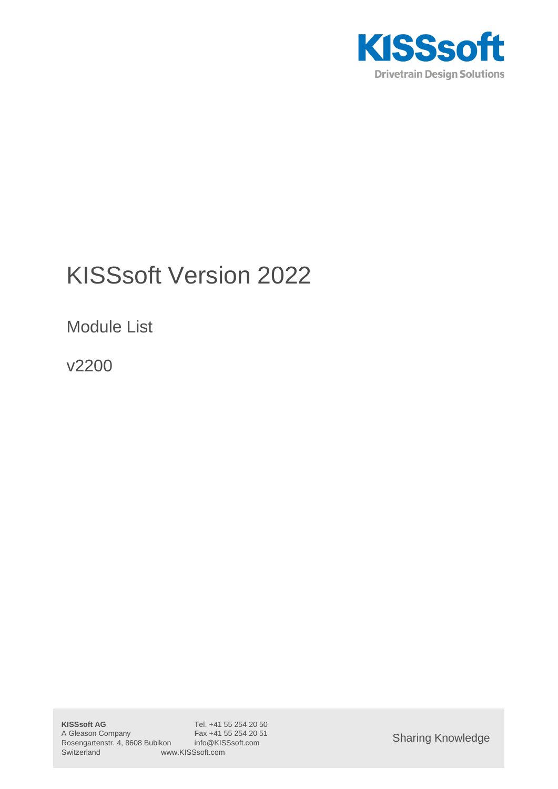

# KISSsoft Version 2022

Module List

v2200

Sharing Knowledge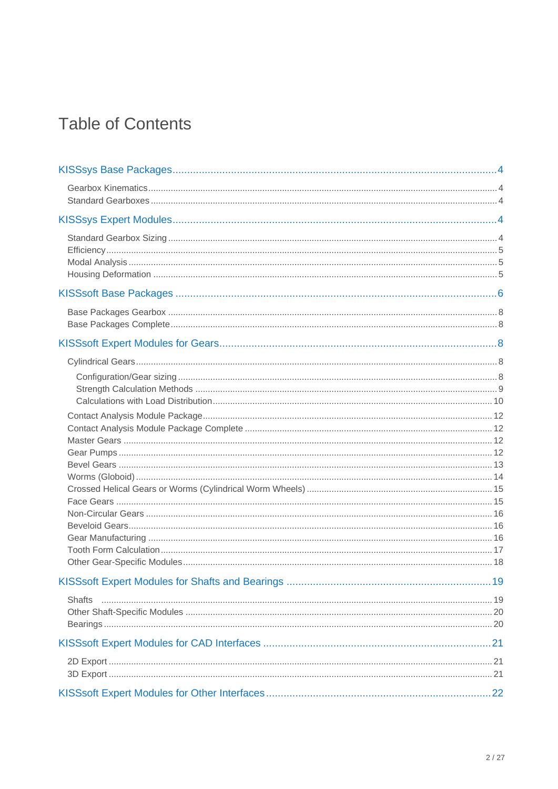## **Table of Contents**

| <b>Shafts</b> |  |
|---------------|--|
|               |  |
|               |  |
|               |  |
|               |  |
|               |  |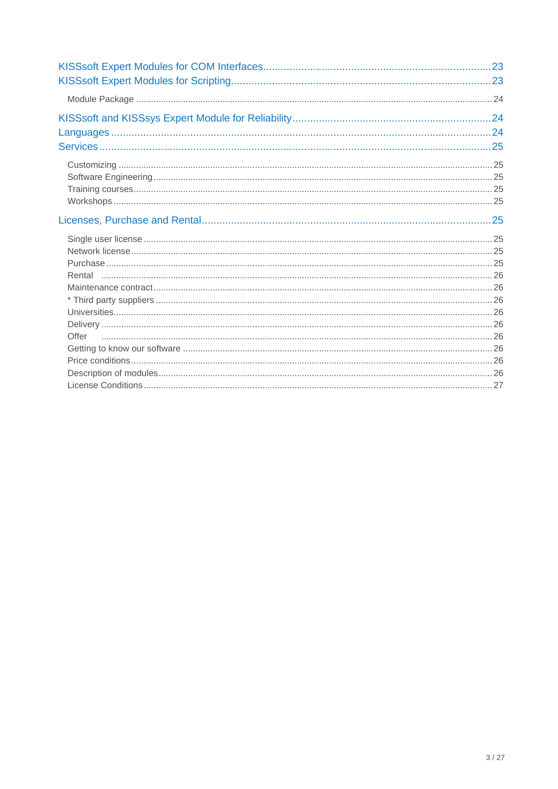| Offer |  |
|-------|--|
|       |  |
|       |  |
|       |  |
|       |  |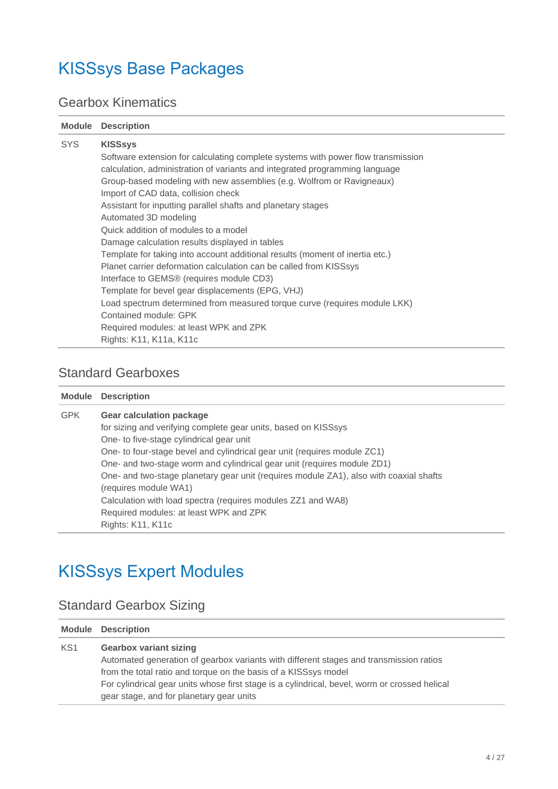## <span id="page-3-0"></span>KISSsys Base Packages

## <span id="page-3-1"></span>Gearbox Kinematics

| <b>Module</b> | <b>Description</b>                                                                                                                                                                                                                                                                                                                                                                                                                                                                                                                                                                                                                                                                                                                                                                                                                                                                                                   |
|---------------|----------------------------------------------------------------------------------------------------------------------------------------------------------------------------------------------------------------------------------------------------------------------------------------------------------------------------------------------------------------------------------------------------------------------------------------------------------------------------------------------------------------------------------------------------------------------------------------------------------------------------------------------------------------------------------------------------------------------------------------------------------------------------------------------------------------------------------------------------------------------------------------------------------------------|
| <b>SYS</b>    | <b>KISSsys</b><br>Software extension for calculating complete systems with power flow transmission<br>calculation, administration of variants and integrated programming language<br>Group-based modeling with new assemblies (e.g. Wolfrom or Ravigneaux)<br>Import of CAD data, collision check<br>Assistant for inputting parallel shafts and planetary stages<br>Automated 3D modeling<br>Quick addition of modules to a model<br>Damage calculation results displayed in tables<br>Template for taking into account additional results (moment of inertia etc.)<br>Planet carrier deformation calculation can be called from KISSsys<br>Interface to GEMS® (requires module CD3)<br>Template for bevel gear displacements (EPG, VHJ)<br>Load spectrum determined from measured torque curve (requires module LKK)<br>Contained module: GPK<br>Required modules: at least WPK and ZPK<br>Rights: K11, K11a, K11c |
|               |                                                                                                                                                                                                                                                                                                                                                                                                                                                                                                                                                                                                                                                                                                                                                                                                                                                                                                                      |

### <span id="page-3-2"></span>Standard Gearboxes

|            | <b>Module Description</b>                                                              |
|------------|----------------------------------------------------------------------------------------|
| <b>GPK</b> | <b>Gear calculation package</b>                                                        |
|            | for sizing and verifying complete gear units, based on KISSsys                         |
|            | One- to five-stage cylindrical gear unit                                               |
|            | One- to four-stage bevel and cylindrical gear unit (requires module ZC1)               |
|            | One- and two-stage worm and cylindrical gear unit (requires module ZD1)                |
|            | One- and two-stage planetary gear unit (requires module ZA1), also with coaxial shafts |
|            | (requires module WA1)                                                                  |
|            | Calculation with load spectra (requires modules ZZ1 and WA8)                           |
|            | Required modules: at least WPK and ZPK                                                 |
|            | Rights: K11, K11c                                                                      |

## <span id="page-3-3"></span>KISSsys Expert Modules

## <span id="page-3-4"></span>Standard Gearbox Sizing

|                 | <b>Module Description</b>                                                                     |
|-----------------|-----------------------------------------------------------------------------------------------|
| KS <sub>1</sub> | <b>Gearbox variant sizing</b>                                                                 |
|                 | Automated generation of gearbox variants with different stages and transmission ratios        |
|                 | from the total ratio and torque on the basis of a KISSsys model                               |
|                 | For cylindrical gear units whose first stage is a cylindrical, bevel, worm or crossed helical |
|                 | gear stage, and for planetary gear units                                                      |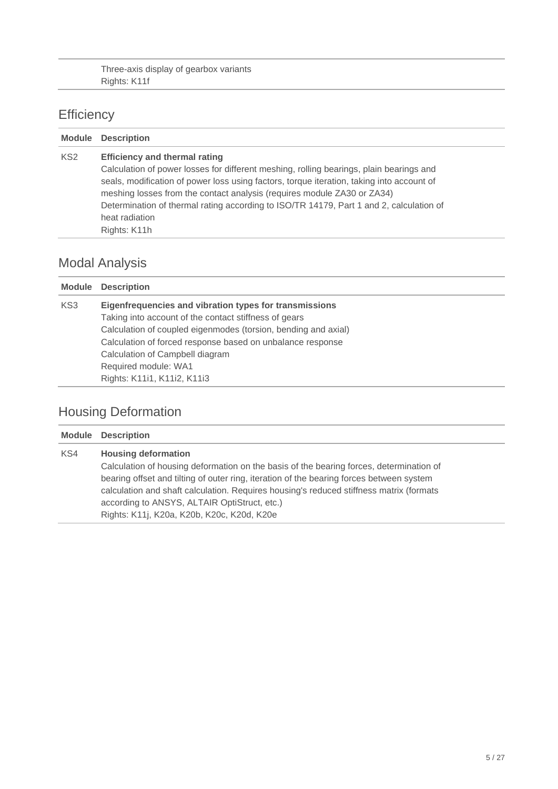Three-axis display of gearbox variants Rights: K11f

## <span id="page-4-0"></span>**Efficiency**

|                 | <b>Module Description</b>                                                                                                                                                                                                                                                                                                                                                                                                            |
|-----------------|--------------------------------------------------------------------------------------------------------------------------------------------------------------------------------------------------------------------------------------------------------------------------------------------------------------------------------------------------------------------------------------------------------------------------------------|
| KS <sub>2</sub> | <b>Efficiency and thermal rating</b><br>Calculation of power losses for different meshing, rolling bearings, plain bearings and<br>seals, modification of power loss using factors, torque iteration, taking into account of<br>meshing losses from the contact analysis (requires module ZA30 or ZA34)<br>Determination of thermal rating according to ISO/TR 14179, Part 1 and 2, calculation of<br>heat radiation<br>Rights: K11h |

## <span id="page-4-1"></span>Modal Analysis

| <b>Module</b> | <b>Description</b>                                             |
|---------------|----------------------------------------------------------------|
| KS3           | Eigenfrequencies and vibration types for transmissions         |
|               | Taking into account of the contact stiffness of gears          |
|               | Calculation of coupled eigenmodes (torsion, bending and axial) |
|               | Calculation of forced response based on unbalance response     |
|               | Calculation of Campbell diagram                                |
|               | Required module: WA1                                           |
|               | Rights: K11i1, K11i2, K11i3                                    |
|               |                                                                |

## <span id="page-4-2"></span>Housing Deformation

|     | <b>Module Description</b>                                                                                                                                                                                                                                                                                    |
|-----|--------------------------------------------------------------------------------------------------------------------------------------------------------------------------------------------------------------------------------------------------------------------------------------------------------------|
| KS4 | <b>Housing deformation</b><br>Calculation of housing deformation on the basis of the bearing forces, determination of<br>bearing offset and tilting of outer ring, iteration of the bearing forces between system<br>calculation and shaft calculation. Requires housing's reduced stiffness matrix (formats |
|     | according to ANSYS, ALTAIR OptiStruct, etc.)<br>Rights: K11j, K20a, K20b, K20c, K20d, K20e                                                                                                                                                                                                                   |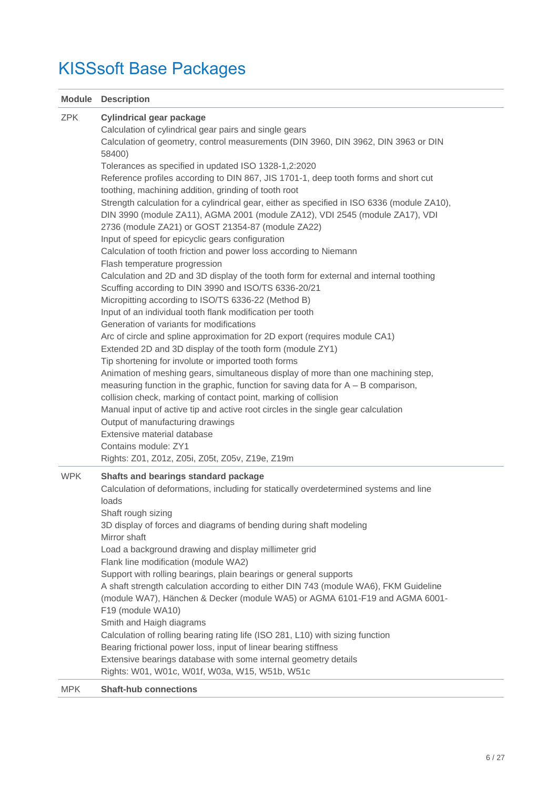# <span id="page-5-0"></span>KISSsoft Base Packages

|            | <b>Module Description</b>                                                                                                               |
|------------|-----------------------------------------------------------------------------------------------------------------------------------------|
| <b>ZPK</b> | <b>Cylindrical gear package</b><br>Calculation of cylindrical gear pairs and single gears                                               |
|            | Calculation of geometry, control measurements (DIN 3960, DIN 3962, DIN 3963 or DIN<br>58400)                                            |
|            | Tolerances as specified in updated ISO 1328-1,2:2020                                                                                    |
|            | Reference profiles according to DIN 867, JIS 1701-1, deep tooth forms and short cut                                                     |
|            | toothing, machining addition, grinding of tooth root                                                                                    |
|            | Strength calculation for a cylindrical gear, either as specified in ISO 6336 (module ZA10),                                             |
|            | DIN 3990 (module ZA11), AGMA 2001 (module ZA12), VDI 2545 (module ZA17), VDI                                                            |
|            | 2736 (module ZA21) or GOST 21354-87 (module ZA22)                                                                                       |
|            | Input of speed for epicyclic gears configuration                                                                                        |
|            | Calculation of tooth friction and power loss according to Niemann                                                                       |
|            | Flash temperature progression                                                                                                           |
|            | Calculation and 2D and 3D display of the tooth form for external and internal toothing                                                  |
|            | Scuffing according to DIN 3990 and ISO/TS 6336-20/21                                                                                    |
|            | Micropitting according to ISO/TS 6336-22 (Method B)                                                                                     |
|            | Input of an individual tooth flank modification per tooth                                                                               |
|            | Generation of variants for modifications                                                                                                |
|            | Arc of circle and spline approximation for 2D export (requires module CA1)<br>Extended 2D and 3D display of the tooth form (module ZY1) |
|            | Tip shortening for involute or imported tooth forms                                                                                     |
|            | Animation of meshing gears, simultaneous display of more than one machining step,                                                       |
|            | measuring function in the graphic, function for saving data for $A - B$ comparison,                                                     |
|            | collision check, marking of contact point, marking of collision                                                                         |
|            | Manual input of active tip and active root circles in the single gear calculation                                                       |
|            | Output of manufacturing drawings                                                                                                        |
|            | Extensive material database                                                                                                             |
|            | Contains module: ZY1                                                                                                                    |
|            | Rights: Z01, Z01z, Z05i, Z05t, Z05v, Z19e, Z19m                                                                                         |
| <b>WPK</b> | Shafts and bearings standard package                                                                                                    |
|            | Calculation of deformations, including for statically overdetermined systems and line                                                   |
|            | loads                                                                                                                                   |
|            | Shaft rough sizing                                                                                                                      |
|            | 3D display of forces and diagrams of bending during shaft modeling                                                                      |
|            | Mirror shaft                                                                                                                            |
|            | Load a background drawing and display millimeter grid                                                                                   |
|            | Flank line modification (module WA2)<br>Support with rolling bearings, plain bearings or general supports                               |
|            | A shaft strength calculation according to either DIN 743 (module WA6), FKM Guideline                                                    |
|            | (module WA7), Hänchen & Decker (module WA5) or AGMA 6101-F19 and AGMA 6001-                                                             |
|            | F19 (module WA10)                                                                                                                       |
|            | Smith and Haigh diagrams                                                                                                                |
|            | Calculation of rolling bearing rating life (ISO 281, L10) with sizing function                                                          |
|            | Bearing frictional power loss, input of linear bearing stiffness                                                                        |
|            | Extensive bearings database with some internal geometry details                                                                         |
|            | Rights: W01, W01c, W01f, W03a, W15, W51b, W51c                                                                                          |
| <b>MPK</b> | <b>Shaft-hub connections</b>                                                                                                            |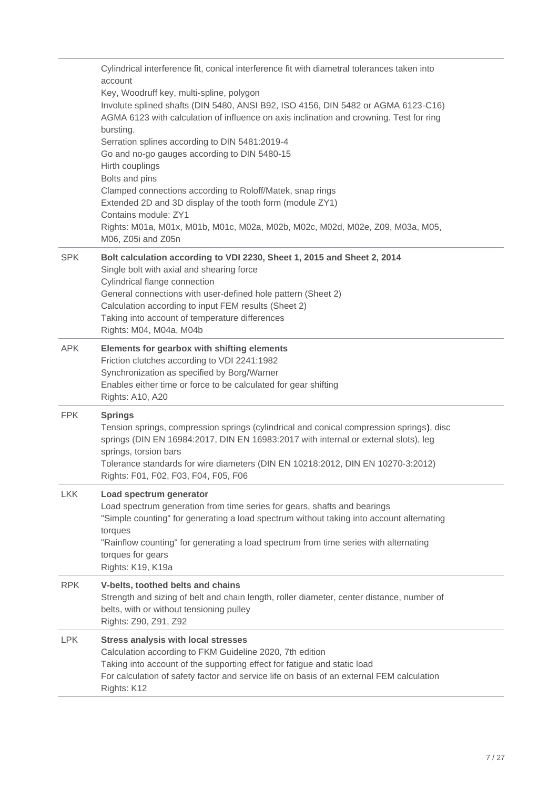|            | Cylindrical interference fit, conical interference fit with diametral tolerances taken into<br>account<br>Key, Woodruff key, multi-spline, polygon<br>Involute splined shafts (DIN 5480, ANSI B92, ISO 4156, DIN 5482 or AGMA 6123-C16)<br>AGMA 6123 with calculation of influence on axis inclination and crowning. Test for ring<br>bursting.<br>Serration splines according to DIN 5481:2019-4<br>Go and no-go gauges according to DIN 5480-15<br>Hirth couplings<br>Bolts and pins<br>Clamped connections according to Roloff/Matek, snap rings<br>Extended 2D and 3D display of the tooth form (module ZY1)<br>Contains module: ZY1<br>Rights: M01a, M01x, M01b, M01c, M02a, M02b, M02c, M02d, M02e, Z09, M03a, M05,<br>M06, Z05i and Z05n |
|------------|-------------------------------------------------------------------------------------------------------------------------------------------------------------------------------------------------------------------------------------------------------------------------------------------------------------------------------------------------------------------------------------------------------------------------------------------------------------------------------------------------------------------------------------------------------------------------------------------------------------------------------------------------------------------------------------------------------------------------------------------------|
| <b>SPK</b> | Bolt calculation according to VDI 2230, Sheet 1, 2015 and Sheet 2, 2014<br>Single bolt with axial and shearing force<br>Cylindrical flange connection<br>General connections with user-defined hole pattern (Sheet 2)<br>Calculation according to input FEM results (Sheet 2)<br>Taking into account of temperature differences<br>Rights: M04, M04a, M04b                                                                                                                                                                                                                                                                                                                                                                                      |
| <b>APK</b> | Elements for gearbox with shifting elements<br>Friction clutches according to VDI 2241:1982<br>Synchronization as specified by Borg/Warner<br>Enables either time or force to be calculated for gear shifting<br><b>Rights: A10, A20</b>                                                                                                                                                                                                                                                                                                                                                                                                                                                                                                        |
| <b>FPK</b> | <b>Springs</b><br>Tension springs, compression springs (cylindrical and conical compression springs), disc<br>springs (DIN EN 16984:2017, DIN EN 16983:2017 with internal or external slots), leg<br>springs, torsion bars<br>Tolerance standards for wire diameters (DIN EN 10218:2012, DIN EN 10270-3:2012)<br>Rights: F01, F02, F03, F04, F05, F06                                                                                                                                                                                                                                                                                                                                                                                           |
| <b>LKK</b> | Load spectrum generator<br>Load spectrum generation from time series for gears, shafts and bearings<br>"Simple counting" for generating a load spectrum without taking into account alternating<br>torques<br>"Rainflow counting" for generating a load spectrum from time series with alternating<br>torques for gears<br>Rights: K19, K19a                                                                                                                                                                                                                                                                                                                                                                                                    |
| <b>RPK</b> | V-belts, toothed belts and chains<br>Strength and sizing of belt and chain length, roller diameter, center distance, number of<br>belts, with or without tensioning pulley<br>Rights: Z90, Z91, Z92                                                                                                                                                                                                                                                                                                                                                                                                                                                                                                                                             |
| <b>LPK</b> | <b>Stress analysis with local stresses</b><br>Calculation according to FKM Guideline 2020, 7th edition<br>Taking into account of the supporting effect for fatigue and static load<br>For calculation of safety factor and service life on basis of an external FEM calculation<br>Rights: K12                                                                                                                                                                                                                                                                                                                                                                                                                                                  |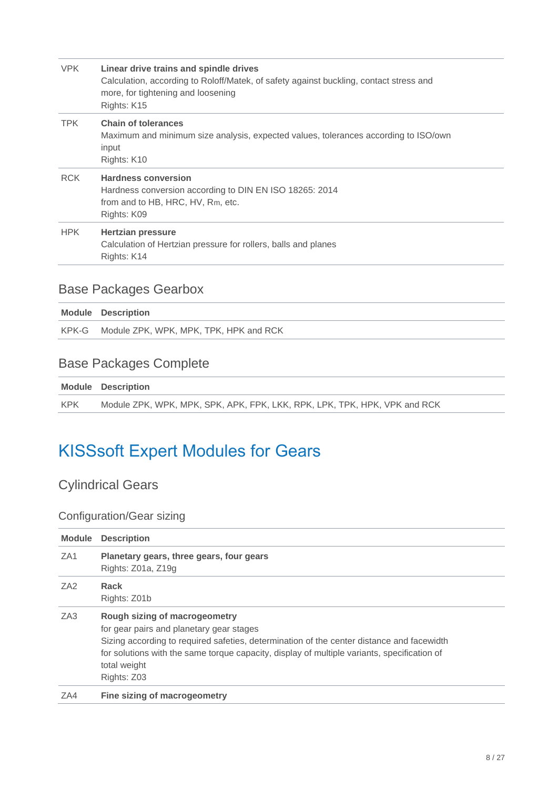| <b>VPK</b> | Linear drive trains and spindle drives<br>Calculation, according to Roloff/Matek, of safety against buckling, contact stress and<br>more, for tightening and loosening<br>Rights: K15 |
|------------|---------------------------------------------------------------------------------------------------------------------------------------------------------------------------------------|
| <b>TPK</b> | <b>Chain of tolerances</b><br>Maximum and minimum size analysis, expected values, tolerances according to ISO/own<br>input<br>Rights: K10                                             |
| <b>RCK</b> | <b>Hardness conversion</b><br>Hardness conversion according to DIN EN ISO 18265: 2014<br>from and to HB, HRC, HV, Rm, etc.<br>Rights: K09                                             |
| <b>HPK</b> | <b>Hertzian pressure</b><br>Calculation of Hertzian pressure for rollers, balls and planes<br>Rights: K14                                                                             |

## <span id="page-7-0"></span>Base Packages Gearbox

| <b>Module Description</b>                    |
|----------------------------------------------|
| KPK-G Module ZPK, WPK, MPK, TPK, HPK and RCK |

## <span id="page-7-1"></span>Base Packages Complete

|     | <b>Module Description</b>                                                 |
|-----|---------------------------------------------------------------------------|
| KPK | Module ZPK, WPK, MPK, SPK, APK, FPK, LKK, RPK, LPK, TPK, HPK, VPK and RCK |

## <span id="page-7-2"></span>KISSsoft Expert Modules for Gears

## <span id="page-7-3"></span>Cylindrical Gears

### <span id="page-7-4"></span>Configuration/Gear sizing

| <b>Module</b>   | <b>Description</b>                                                                                                                                                                                                                                                                                   |
|-----------------|------------------------------------------------------------------------------------------------------------------------------------------------------------------------------------------------------------------------------------------------------------------------------------------------------|
| ZA <sub>1</sub> | Planetary gears, three gears, four gears<br>Rights: Z01a, Z19g                                                                                                                                                                                                                                       |
| ZA <sub>2</sub> | Rack<br>Rights: Z01b                                                                                                                                                                                                                                                                                 |
| ZA3             | Rough sizing of macrogeometry<br>for gear pairs and planetary gear stages<br>Sizing according to required safeties, determination of the center distance and facewidth<br>for solutions with the same torque capacity, display of multiple variants, specification of<br>total weight<br>Rights: Z03 |
| ZA4             | Fine sizing of macrogeometry                                                                                                                                                                                                                                                                         |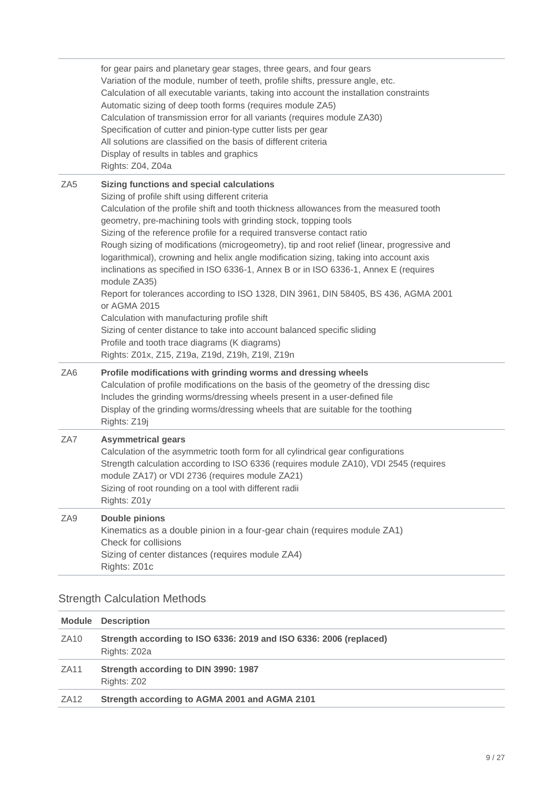|                 | for gear pairs and planetary gear stages, three gears, and four gears<br>Variation of the module, number of teeth, profile shifts, pressure angle, etc.<br>Calculation of all executable variants, taking into account the installation constraints<br>Automatic sizing of deep tooth forms (requires module ZA5)<br>Calculation of transmission error for all variants (requires module ZA30)<br>Specification of cutter and pinion-type cutter lists per gear<br>All solutions are classified on the basis of different criteria<br>Display of results in tables and graphics<br>Rights: Z04, Z04a                                                                                                                                                                                                                                                                                                                                                                                   |
|-----------------|----------------------------------------------------------------------------------------------------------------------------------------------------------------------------------------------------------------------------------------------------------------------------------------------------------------------------------------------------------------------------------------------------------------------------------------------------------------------------------------------------------------------------------------------------------------------------------------------------------------------------------------------------------------------------------------------------------------------------------------------------------------------------------------------------------------------------------------------------------------------------------------------------------------------------------------------------------------------------------------|
| ZA <sub>5</sub> | <b>Sizing functions and special calculations</b><br>Sizing of profile shift using different criteria<br>Calculation of the profile shift and tooth thickness allowances from the measured tooth<br>geometry, pre-machining tools with grinding stock, topping tools<br>Sizing of the reference profile for a required transverse contact ratio<br>Rough sizing of modifications (microgeometry), tip and root relief (linear, progressive and<br>logarithmical), crowning and helix angle modification sizing, taking into account axis<br>inclinations as specified in ISO 6336-1, Annex B or in ISO 6336-1, Annex E (requires<br>module ZA35)<br>Report for tolerances according to ISO 1328, DIN 3961, DIN 58405, BS 436, AGMA 2001<br>or AGMA 2015<br>Calculation with manufacturing profile shift<br>Sizing of center distance to take into account balanced specific sliding<br>Profile and tooth trace diagrams (K diagrams)<br>Rights: Z01x, Z15, Z19a, Z19d, Z19h, Z19l, Z19n |
| ZA <sub>6</sub> | Profile modifications with grinding worms and dressing wheels<br>Calculation of profile modifications on the basis of the geometry of the dressing disc<br>Includes the grinding worms/dressing wheels present in a user-defined file<br>Display of the grinding worms/dressing wheels that are suitable for the toothing<br>Rights: Z19j                                                                                                                                                                                                                                                                                                                                                                                                                                                                                                                                                                                                                                              |
| ZA7             | <b>Asymmetrical gears</b><br>Calculation of the asymmetric tooth form for all cylindrical gear configurations<br>Strength calculation according to ISO 6336 (requires module ZA10), VDI 2545 (requires<br>module ZA17) or VDI 2736 (requires module ZA21)<br>Sizing of root rounding on a tool with different radii<br>Rights: Z01y                                                                                                                                                                                                                                                                                                                                                                                                                                                                                                                                                                                                                                                    |
| ZA9             | <b>Double pinions</b><br>Kinematics as a double pinion in a four-gear chain (requires module ZA1)<br>Check for collisions<br>Sizing of center distances (requires module ZA4)<br>Rights: Z01c                                                                                                                                                                                                                                                                                                                                                                                                                                                                                                                                                                                                                                                                                                                                                                                          |

### <span id="page-8-0"></span>Strength Calculation Methods

|                  | <b>Module Description</b>                                                          |
|------------------|------------------------------------------------------------------------------------|
| ZA <sub>10</sub> | Strength according to ISO 6336: 2019 and ISO 6336: 2006 (replaced)<br>Rights: Z02a |
| ZA <sub>11</sub> | Strength according to DIN 3990: 1987<br>Rights: Z02                                |
| <b>ZA12</b>      | Strength according to AGMA 2001 and AGMA 2101                                      |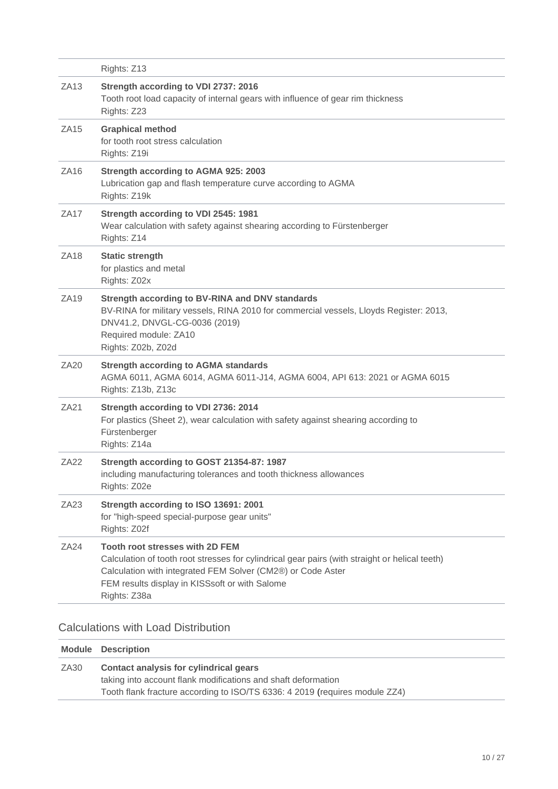|                  | Rights: Z13                                                                                                                                                                                                                                                               |
|------------------|---------------------------------------------------------------------------------------------------------------------------------------------------------------------------------------------------------------------------------------------------------------------------|
| <b>ZA13</b>      | Strength according to VDI 2737: 2016<br>Tooth root load capacity of internal gears with influence of gear rim thickness<br>Rights: Z23                                                                                                                                    |
| ZA15             | <b>Graphical method</b><br>for tooth root stress calculation<br>Rights: Z19i                                                                                                                                                                                              |
| ZA16             | <b>Strength according to AGMA 925: 2003</b><br>Lubrication gap and flash temperature curve according to AGMA<br>Rights: Z19k                                                                                                                                              |
| ZA17             | Strength according to VDI 2545: 1981<br>Wear calculation with safety against shearing according to Fürstenberger<br>Rights: Z14                                                                                                                                           |
| <b>ZA18</b>      | <b>Static strength</b><br>for plastics and metal<br>Rights: Z02x                                                                                                                                                                                                          |
| ZA19             | Strength according to BV-RINA and DNV standards<br>BV-RINA for military vessels, RINA 2010 for commercial vessels, Lloyds Register: 2013,<br>DNV41.2, DNVGL-CG-0036 (2019)<br>Required module: ZA10<br>Rights: Z02b, Z02d                                                 |
| ZA20             | <b>Strength according to AGMA standards</b><br>AGMA 6011, AGMA 6014, AGMA 6011-J14, AGMA 6004, API 613: 2021 or AGMA 6015<br>Rights: Z13b, Z13c                                                                                                                           |
| <b>ZA21</b>      | Strength according to VDI 2736: 2014<br>For plastics (Sheet 2), wear calculation with safety against shearing according to<br>Fürstenberger<br>Rights: Z14a                                                                                                               |
| ZA22             | Strength according to GOST 21354-87: 1987<br>including manufacturing tolerances and tooth thickness allowances<br>Rights: Z02e                                                                                                                                            |
| ZA <sub>23</sub> | Strength according to ISO 13691: 2001<br>for "high-speed special-purpose gear units"<br>Rights: Z02f                                                                                                                                                                      |
| <b>ZA24</b>      | <b>Tooth root stresses with 2D FEM</b><br>Calculation of tooth root stresses for cylindrical gear pairs (with straight or helical teeth)<br>Calculation with integrated FEM Solver (CM2®) or Code Aster<br>FEM results display in KISSsoft or with Salome<br>Rights: Z38a |

#### <span id="page-9-0"></span>Calculations with Load Distribution

|                  | <b>Module Description</b>                                                   |
|------------------|-----------------------------------------------------------------------------|
| ZA <sub>30</sub> | Contact analysis for cylindrical gears                                      |
|                  | taking into account flank modifications and shaft deformation               |
|                  | Tooth flank fracture according to ISO/TS 6336: 4 2019 (requires module ZZ4) |
|                  |                                                                             |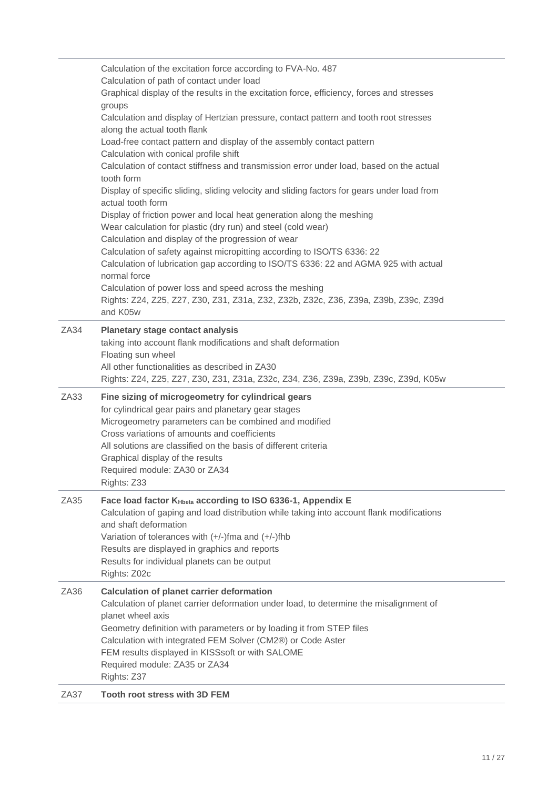|      | Calculation of the excitation force according to FVA-No. 487<br>Calculation of path of contact under load<br>Graphical display of the results in the excitation force, efficiency, forces and stresses<br>groups<br>Calculation and display of Hertzian pressure, contact pattern and tooth root stresses<br>along the actual tooth flank<br>Load-free contact pattern and display of the assembly contact pattern<br>Calculation with conical profile shift<br>Calculation of contact stiffness and transmission error under load, based on the actual<br>tooth form<br>Display of specific sliding, sliding velocity and sliding factors for gears under load from<br>actual tooth form<br>Display of friction power and local heat generation along the meshing<br>Wear calculation for plastic (dry run) and steel (cold wear)<br>Calculation and display of the progression of wear<br>Calculation of safety against micropitting according to ISO/TS 6336: 22<br>Calculation of lubrication gap according to ISO/TS 6336: 22 and AGMA 925 with actual<br>normal force<br>Calculation of power loss and speed across the meshing<br>Rights: Z24, Z25, Z27, Z30, Z31, Z31a, Z32, Z32b, Z32c, Z36, Z39a, Z39b, Z39c, Z39d<br>and K05w |
|------|------------------------------------------------------------------------------------------------------------------------------------------------------------------------------------------------------------------------------------------------------------------------------------------------------------------------------------------------------------------------------------------------------------------------------------------------------------------------------------------------------------------------------------------------------------------------------------------------------------------------------------------------------------------------------------------------------------------------------------------------------------------------------------------------------------------------------------------------------------------------------------------------------------------------------------------------------------------------------------------------------------------------------------------------------------------------------------------------------------------------------------------------------------------------------------------------------------------------------------------|
| ZA34 | <b>Planetary stage contact analysis</b><br>taking into account flank modifications and shaft deformation<br>Floating sun wheel<br>All other functionalities as described in ZA30<br>Rights: Z24, Z25, Z27, Z30, Z31, Z31a, Z32c, Z34, Z36, Z39a, Z39b, Z39c, Z39d, K05w                                                                                                                                                                                                                                                                                                                                                                                                                                                                                                                                                                                                                                                                                                                                                                                                                                                                                                                                                                  |
| ZA33 | Fine sizing of microgeometry for cylindrical gears<br>for cylindrical gear pairs and planetary gear stages<br>Microgeometry parameters can be combined and modified<br>Cross variations of amounts and coefficients<br>All solutions are classified on the basis of different criteria<br>Graphical display of the results<br>Required module: ZA30 or ZA34<br>Rights: Z33                                                                                                                                                                                                                                                                                                                                                                                                                                                                                                                                                                                                                                                                                                                                                                                                                                                               |
| ZA35 | Face load factor KHbeta according to ISO 6336-1, Appendix E<br>Calculation of gaping and load distribution while taking into account flank modifications<br>and shaft deformation<br>Variation of tolerances with (+/-)fma and (+/-)fhb<br>Results are displayed in graphics and reports<br>Results for individual planets can be output<br>Rights: Z02c                                                                                                                                                                                                                                                                                                                                                                                                                                                                                                                                                                                                                                                                                                                                                                                                                                                                                 |
| ZA36 | <b>Calculation of planet carrier deformation</b><br>Calculation of planet carrier deformation under load, to determine the misalignment of<br>planet wheel axis<br>Geometry definition with parameters or by loading it from STEP files<br>Calculation with integrated FEM Solver (CM2®) or Code Aster<br>FEM results displayed in KISSsoft or with SALOME<br>Required module: ZA35 or ZA34<br>Rights: Z37                                                                                                                                                                                                                                                                                                                                                                                                                                                                                                                                                                                                                                                                                                                                                                                                                               |
| ZA37 | <b>Tooth root stress with 3D FEM</b>                                                                                                                                                                                                                                                                                                                                                                                                                                                                                                                                                                                                                                                                                                                                                                                                                                                                                                                                                                                                                                                                                                                                                                                                     |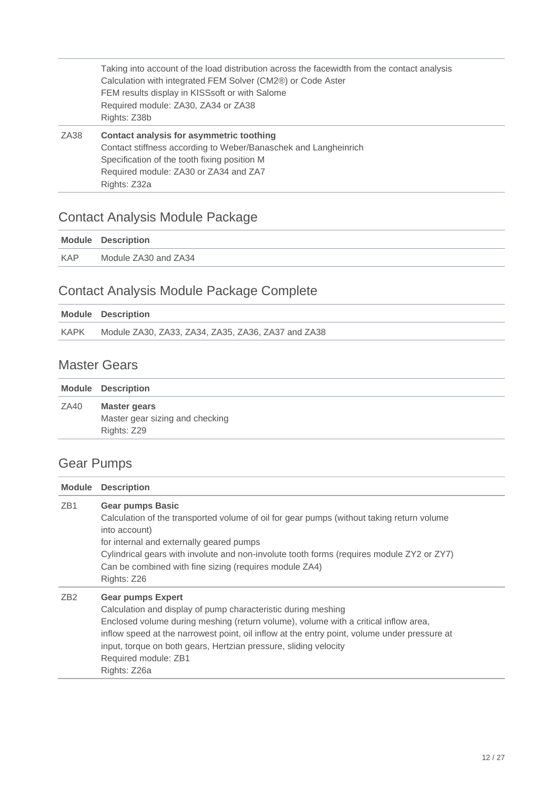|      | Taking into account of the load distribution across the facewidth from the contact analysis<br>Calculation with integrated FEM Solver (CM2®) or Code Aster<br>FEM results display in KISSsoft or with Salome<br>Required module: ZA30, ZA34 or ZA38<br>Rights: Z38b |
|------|---------------------------------------------------------------------------------------------------------------------------------------------------------------------------------------------------------------------------------------------------------------------|
| ZA38 | Contact analysis for asymmetric toothing<br>Contact stiffness according to Weber/Banaschek and Langheinrich<br>Specification of the tooth fixing position M<br>Required module: ZA30 or ZA34 and ZA7<br>Rights: Z32a                                                |

## <span id="page-11-0"></span>Contact Analysis Module Package

|            | <b>Module Description</b> |
|------------|---------------------------|
| <b>KAP</b> | Module ZA30 and ZA34      |
|            |                           |

## <span id="page-11-1"></span>Contact Analysis Module Package Complete

|             | <b>Module Description</b>                          |
|-------------|----------------------------------------------------|
| <b>KAPK</b> | Module ZA30, ZA33, ZA34, ZA35, ZA36, ZA37 and ZA38 |
|             |                                                    |

#### <span id="page-11-2"></span>Master Gears

|      | <b>Module Description</b>       |
|------|---------------------------------|
| ZA40 | Master gears                    |
|      | Master gear sizing and checking |
|      | Rights: Z29                     |
|      |                                 |

## <span id="page-11-3"></span>Gear Pumps

| <b>Module</b>   | <b>Description</b>                                                                                                                                                                                                                                                                                                                                                                           |
|-----------------|----------------------------------------------------------------------------------------------------------------------------------------------------------------------------------------------------------------------------------------------------------------------------------------------------------------------------------------------------------------------------------------------|
| ZB <sub>1</sub> | <b>Gear pumps Basic</b><br>Calculation of the transported volume of oil for gear pumps (without taking return volume<br>into account)<br>for internal and externally geared pumps<br>Cylindrical gears with involute and non-involute tooth forms (requires module ZY2 or ZY7)<br>Can be combined with fine sizing (requires module ZA4)<br>Rights: Z26                                      |
| ZB <sub>2</sub> | <b>Gear pumps Expert</b><br>Calculation and display of pump characteristic during meshing<br>Enclosed volume during meshing (return volume), volume with a critical inflow area,<br>inflow speed at the narrowest point, oil inflow at the entry point, volume under pressure at<br>input, torque on both gears, Hertzian pressure, sliding velocity<br>Required module: ZB1<br>Rights: Z26a |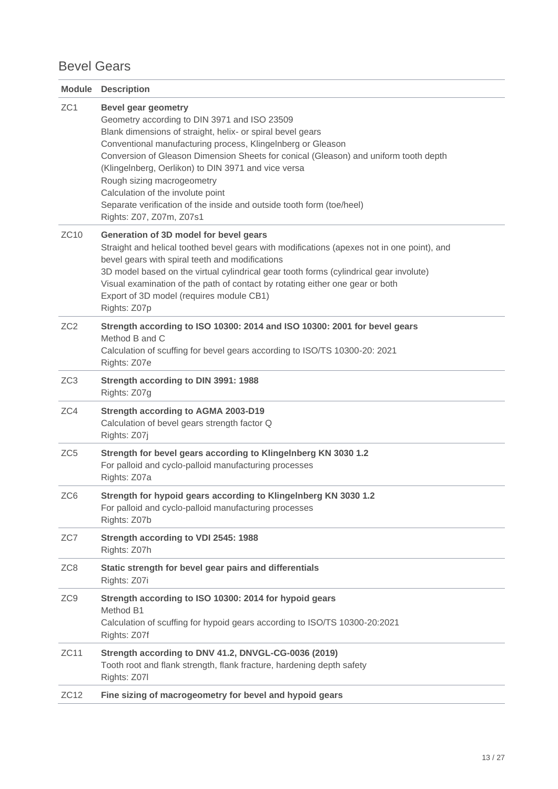#### <span id="page-12-0"></span>Bevel Gears

| <b>Module</b>   | <b>Description</b>                                                                                                                                                                                                                                                                                                                                                                                                                                                                                                             |
|-----------------|--------------------------------------------------------------------------------------------------------------------------------------------------------------------------------------------------------------------------------------------------------------------------------------------------------------------------------------------------------------------------------------------------------------------------------------------------------------------------------------------------------------------------------|
| ZC <sub>1</sub> | <b>Bevel gear geometry</b><br>Geometry according to DIN 3971 and ISO 23509<br>Blank dimensions of straight, helix- or spiral bevel gears<br>Conventional manufacturing process, Klingelnberg or Gleason<br>Conversion of Gleason Dimension Sheets for conical (Gleason) and uniform tooth depth<br>(Klingelnberg, Oerlikon) to DIN 3971 and vice versa<br>Rough sizing macrogeometry<br>Calculation of the involute point<br>Separate verification of the inside and outside tooth form (toe/heel)<br>Rights: Z07, Z07m, Z07s1 |
| ZC10            | Generation of 3D model for bevel gears<br>Straight and helical toothed bevel gears with modifications (apexes not in one point), and<br>bevel gears with spiral teeth and modifications<br>3D model based on the virtual cylindrical gear tooth forms (cylindrical gear involute)<br>Visual examination of the path of contact by rotating either one gear or both<br>Export of 3D model (requires module CB1)<br>Rights: Z07p                                                                                                 |
| ZC2             | Strength according to ISO 10300: 2014 and ISO 10300: 2001 for bevel gears<br>Method B and C<br>Calculation of scuffing for bevel gears according to ISO/TS 10300-20: 2021<br>Rights: Z07e                                                                                                                                                                                                                                                                                                                                      |
| ZC <sub>3</sub> | Strength according to DIN 3991: 1988<br>Rights: Z07g                                                                                                                                                                                                                                                                                                                                                                                                                                                                           |
| ZC4             | <b>Strength according to AGMA 2003-D19</b><br>Calculation of bevel gears strength factor Q<br>Rights: Z07j                                                                                                                                                                                                                                                                                                                                                                                                                     |
| ZC <sub>5</sub> | Strength for bevel gears according to Klingelnberg KN 3030 1.2<br>For palloid and cyclo-palloid manufacturing processes<br>Rights: Z07a                                                                                                                                                                                                                                                                                                                                                                                        |
| ZC <sub>6</sub> | Strength for hypoid gears according to Klingelnberg KN 3030 1.2<br>For palloid and cyclo-palloid manufacturing processes<br>Rights: Z07b                                                                                                                                                                                                                                                                                                                                                                                       |
| ZC7             | Strength according to VDI 2545: 1988<br>Rights: Z07h                                                                                                                                                                                                                                                                                                                                                                                                                                                                           |
| ZC <sub>8</sub> | Static strength for bevel gear pairs and differentials<br>Rights: Z07i                                                                                                                                                                                                                                                                                                                                                                                                                                                         |
| ZC <sub>9</sub> | Strength according to ISO 10300: 2014 for hypoid gears<br>Method B1<br>Calculation of scuffing for hypoid gears according to ISO/TS 10300-20:2021<br>Rights: Z07f                                                                                                                                                                                                                                                                                                                                                              |
| ZC11            | Strength according to DNV 41.2, DNVGL-CG-0036 (2019)<br>Tooth root and flank strength, flank fracture, hardening depth safety<br>Rights: Z07I                                                                                                                                                                                                                                                                                                                                                                                  |
| ZC12            | Fine sizing of macrogeometry for bevel and hypoid gears                                                                                                                                                                                                                                                                                                                                                                                                                                                                        |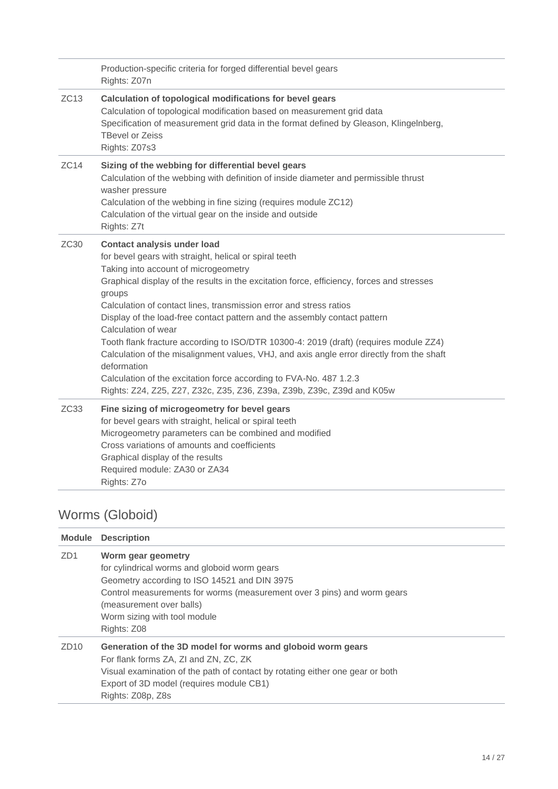|      | Production-specific criteria for forged differential bevel gears<br>Rights: Z07n                                                                                                                                                                                                                                                                                                                                                                                                                                                                                                                                                                                                                                                                                           |
|------|----------------------------------------------------------------------------------------------------------------------------------------------------------------------------------------------------------------------------------------------------------------------------------------------------------------------------------------------------------------------------------------------------------------------------------------------------------------------------------------------------------------------------------------------------------------------------------------------------------------------------------------------------------------------------------------------------------------------------------------------------------------------------|
| ZC13 | Calculation of topological modifications for bevel gears<br>Calculation of topological modification based on measurement grid data<br>Specification of measurement grid data in the format defined by Gleason, Klingelnberg,<br><b>TBevel or Zeiss</b><br>Rights: Z07s3                                                                                                                                                                                                                                                                                                                                                                                                                                                                                                    |
| ZC14 | Sizing of the webbing for differential bevel gears<br>Calculation of the webbing with definition of inside diameter and permissible thrust<br>washer pressure<br>Calculation of the webbing in fine sizing (requires module ZC12)<br>Calculation of the virtual gear on the inside and outside<br>Rights: Z7t                                                                                                                                                                                                                                                                                                                                                                                                                                                              |
| ZC30 | <b>Contact analysis under load</b><br>for bevel gears with straight, helical or spiral teeth<br>Taking into account of microgeometry<br>Graphical display of the results in the excitation force, efficiency, forces and stresses<br>groups<br>Calculation of contact lines, transmission error and stress ratios<br>Display of the load-free contact pattern and the assembly contact pattern<br>Calculation of wear<br>Tooth flank fracture according to ISO/DTR 10300-4: 2019 (draft) (requires module ZZ4)<br>Calculation of the misalignment values, VHJ, and axis angle error directly from the shaft<br>deformation<br>Calculation of the excitation force according to FVA-No. 487 1.2.3<br>Rights: Z24, Z25, Z27, Z32c, Z35, Z36, Z39a, Z39b, Z39c, Z39d and K05w |
| ZC33 | Fine sizing of microgeometry for bevel gears<br>for bevel gears with straight, helical or spiral teeth<br>Microgeometry parameters can be combined and modified<br>Cross variations of amounts and coefficients<br>Graphical display of the results<br>Required module: ZA30 or ZA34<br>Rights: Z7o                                                                                                                                                                                                                                                                                                                                                                                                                                                                        |

## <span id="page-13-0"></span>Worms (Globoid)

| Module           | <b>Description</b>                                                                                                                                                                                                                                                       |
|------------------|--------------------------------------------------------------------------------------------------------------------------------------------------------------------------------------------------------------------------------------------------------------------------|
| ZD <sub>1</sub>  | Worm gear geometry<br>for cylindrical worms and globoid worm gears<br>Geometry according to ISO 14521 and DIN 3975<br>Control measurements for worms (measurement over 3 pins) and worm gears<br>(measurement over balls)<br>Worm sizing with tool module<br>Rights: Z08 |
| ZD <sub>10</sub> | Generation of the 3D model for worms and globoid worm gears<br>For flank forms ZA, ZI and ZN, ZC, ZK<br>Visual examination of the path of contact by rotating either one gear or both<br>Export of 3D model (requires module CB1)<br>Rights: Z08p, Z8s                   |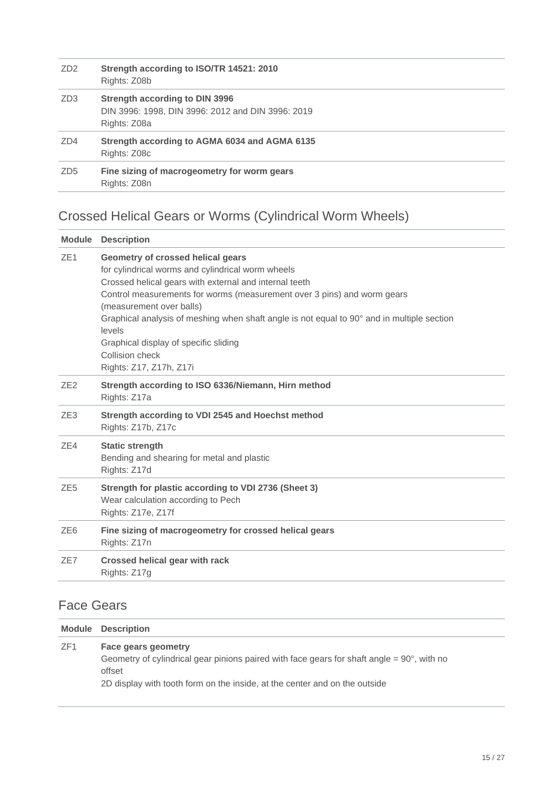| ZD <sub>2</sub> | Strength according to ISO/TR 14521: 2010<br>Rights: Z08b                                                   |
|-----------------|------------------------------------------------------------------------------------------------------------|
| ZD <sub>3</sub> | <b>Strength according to DIN 3996</b><br>DIN 3996: 1998, DIN 3996: 2012 and DIN 3996: 2019<br>Rights: Z08a |
| ZD4             | Strength according to AGMA 6034 and AGMA 6135<br>Rights: Z08c                                              |
| ZD <sub>5</sub> | Fine sizing of macrogeometry for worm gears<br>Rights: Z08n                                                |

## <span id="page-14-0"></span>Crossed Helical Gears or Worms (Cylindrical Worm Wheels)

| <b>Module</b>   | <b>Description</b>                                                                                                                                                                                                                                                                                                                                                                                                                                     |
|-----------------|--------------------------------------------------------------------------------------------------------------------------------------------------------------------------------------------------------------------------------------------------------------------------------------------------------------------------------------------------------------------------------------------------------------------------------------------------------|
| ZE <sub>1</sub> | Geometry of crossed helical gears<br>for cylindrical worms and cylindrical worm wheels<br>Crossed helical gears with external and internal teeth<br>Control measurements for worms (measurement over 3 pins) and worm gears<br>(measurement over balls)<br>Graphical analysis of meshing when shaft angle is not equal to 90° and in multiple section<br>levels<br>Graphical display of specific sliding<br>Collision check<br>Rights: Z17, Z17h, Z17i |
| ZE <sub>2</sub> | Strength according to ISO 6336/Niemann, Hirn method<br>Rights: Z17a                                                                                                                                                                                                                                                                                                                                                                                    |
| ZE <sub>3</sub> | Strength according to VDI 2545 and Hoechst method<br>Rights: Z17b, Z17c                                                                                                                                                                                                                                                                                                                                                                                |
| ZE4             | <b>Static strength</b><br>Bending and shearing for metal and plastic<br>Rights: Z17d                                                                                                                                                                                                                                                                                                                                                                   |
| ZE <sub>5</sub> | Strength for plastic according to VDI 2736 (Sheet 3)<br>Wear calculation according to Pech<br>Rights: Z17e, Z17f                                                                                                                                                                                                                                                                                                                                       |
| ZE <sub>6</sub> | Fine sizing of macrogeometry for crossed helical gears<br>Rights: Z17n                                                                                                                                                                                                                                                                                                                                                                                 |
| ZE7             | Crossed helical gear with rack<br>Rights: Z17g                                                                                                                                                                                                                                                                                                                                                                                                         |
|                 |                                                                                                                                                                                                                                                                                                                                                                                                                                                        |

## <span id="page-14-1"></span>Face Gears

|                 | <b>Module Description</b>                                                                                                                                                                                           |
|-----------------|---------------------------------------------------------------------------------------------------------------------------------------------------------------------------------------------------------------------|
| ZF <sub>1</sub> | Face gears geometry<br>Geometry of cylindrical gear pinions paired with face gears for shaft angle $= 90^{\circ}$ , with no<br>offset<br>2D display with tooth form on the inside, at the center and on the outside |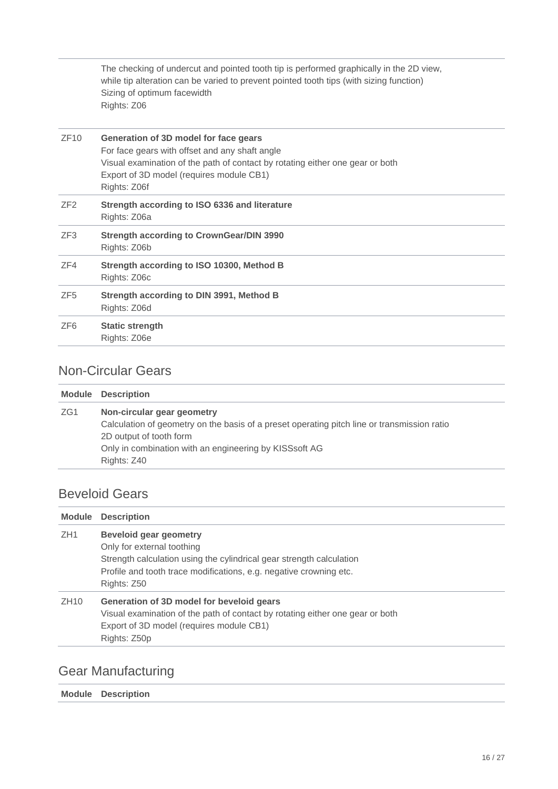The checking of undercut and pointed tooth tip is performed graphically in the 2D view, while tip alteration can be varied to prevent pointed tooth tips (with sizing function) Sizing of optimum facewidth Rights: Z06

| ZF10            | Generation of 3D model for face gears<br>For face gears with offset and any shaft angle<br>Visual examination of the path of contact by rotating either one gear or both<br>Export of 3D model (requires module CB1)<br>Rights: Z06f |
|-----------------|--------------------------------------------------------------------------------------------------------------------------------------------------------------------------------------------------------------------------------------|
| ZF2             | Strength according to ISO 6336 and literature<br>Rights: Z06a                                                                                                                                                                        |
| ZF3             | <b>Strength according to CrownGear/DIN 3990</b><br>Rights: Z06b                                                                                                                                                                      |
| ZF4             | Strength according to ISO 10300, Method B<br>Rights: Z06c                                                                                                                                                                            |
| ZF <sub>5</sub> | Strength according to DIN 3991, Method B<br>Rights: Z06d                                                                                                                                                                             |
| ZF <sub>6</sub> | <b>Static strength</b><br>Rights: Z06e                                                                                                                                                                                               |

#### <span id="page-15-0"></span>Non-Circular Gears

|     | <b>Module Description</b>                                                                                                                                                                                                     |
|-----|-------------------------------------------------------------------------------------------------------------------------------------------------------------------------------------------------------------------------------|
| ZG1 | Non-circular gear geometry<br>Calculation of geometry on the basis of a preset operating pitch line or transmission ratio<br>2D output of tooth form<br>Only in combination with an engineering by KISSsoft AG<br>Rights: Z40 |

### <span id="page-15-1"></span>Beveloid Gears

|                  | <b>Module Description</b>                                                                                                                                                                                                |
|------------------|--------------------------------------------------------------------------------------------------------------------------------------------------------------------------------------------------------------------------|
| ZH <sub>1</sub>  | <b>Beveloid gear geometry</b><br>Only for external toothing<br>Strength calculation using the cylindrical gear strength calculation<br>Profile and tooth trace modifications, e.g. negative crowning etc.<br>Rights: Z50 |
| ZH <sub>10</sub> | Generation of 3D model for beveloid gears<br>Visual examination of the path of contact by rotating either one gear or both<br>Export of 3D model (requires module CB1)<br>Rights: Z50p                                   |

### <span id="page-15-2"></span>Gear Manufacturing

**Module Description**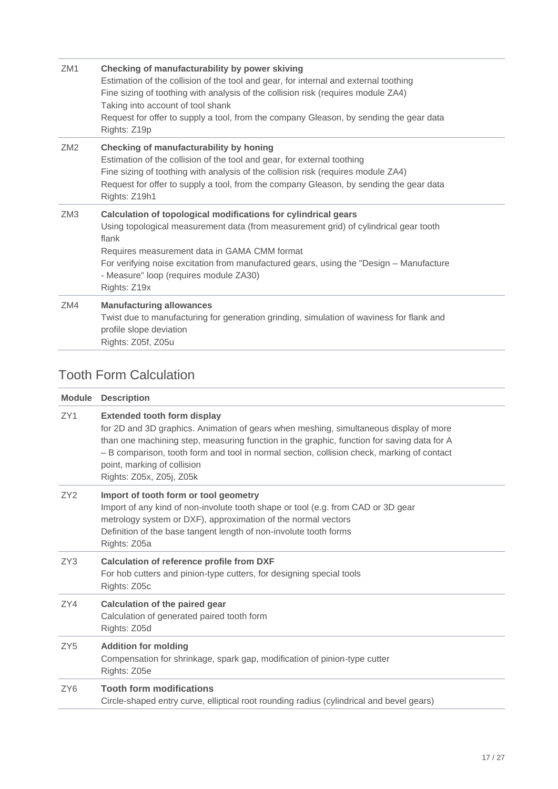| ZM1             | Checking of manufacturability by power skiving<br>Estimation of the collision of the tool and gear, for internal and external toothing<br>Fine sizing of toothing with analysis of the collision risk (requires module ZA4)<br>Taking into account of tool shank<br>Request for offer to supply a tool, from the company Gleason, by sending the gear data<br>Rights: Z19p |
|-----------------|----------------------------------------------------------------------------------------------------------------------------------------------------------------------------------------------------------------------------------------------------------------------------------------------------------------------------------------------------------------------------|
| ZM <sub>2</sub> | Checking of manufacturability by honing<br>Estimation of the collision of the tool and gear, for external toothing<br>Fine sizing of toothing with analysis of the collision risk (requires module ZA4)<br>Request for offer to supply a tool, from the company Gleason, by sending the gear data<br>Rights: Z19h1                                                         |
| ZM3             | Calculation of topological modifications for cylindrical gears<br>Using topological measurement data (from measurement grid) of cylindrical gear tooth<br>flank<br>Requires measurement data in GAMA CMM format<br>For verifying noise excitation from manufactured gears, using the "Design - Manufacture"<br>- Measure" loop (requires module ZA30)<br>Rights: Z19x      |
| ZM4             | <b>Manufacturing allowances</b><br>Twist due to manufacturing for generation grinding, simulation of waviness for flank and<br>profile slope deviation<br>Rights: Z05f, Z05u                                                                                                                                                                                               |

### <span id="page-16-0"></span>Tooth Form Calculation

| <b>Module</b>   | <b>Description</b>                                                                                                                                                                                                                                                                                                                                                                 |
|-----------------|------------------------------------------------------------------------------------------------------------------------------------------------------------------------------------------------------------------------------------------------------------------------------------------------------------------------------------------------------------------------------------|
| ZY1             | <b>Extended tooth form display</b><br>for 2D and 3D graphics. Animation of gears when meshing, simultaneous display of more<br>than one machining step, measuring function in the graphic, function for saving data for A<br>- B comparison, tooth form and tool in normal section, collision check, marking of contact<br>point, marking of collision<br>Rights: Z05x, Z05j, Z05k |
| ZY <sub>2</sub> | Import of tooth form or tool geometry<br>Import of any kind of non-involute tooth shape or tool (e.g. from CAD or 3D gear<br>metrology system or DXF), approximation of the normal vectors<br>Definition of the base tangent length of non-involute tooth forms<br>Rights: Z05a                                                                                                    |
| ZY <sub>3</sub> | <b>Calculation of reference profile from DXF</b><br>For hob cutters and pinion-type cutters, for designing special tools<br>Rights: Z05c                                                                                                                                                                                                                                           |
| ZY4             | <b>Calculation of the paired gear</b><br>Calculation of generated paired tooth form<br>Rights: Z05d                                                                                                                                                                                                                                                                                |
| ZY <sub>5</sub> | <b>Addition for molding</b><br>Compensation for shrinkage, spark gap, modification of pinion-type cutter<br>Rights: Z05e                                                                                                                                                                                                                                                           |
| ZY <sub>6</sub> | <b>Tooth form modifications</b><br>Circle-shaped entry curve, elliptical root rounding radius (cylindrical and bevel gears)                                                                                                                                                                                                                                                        |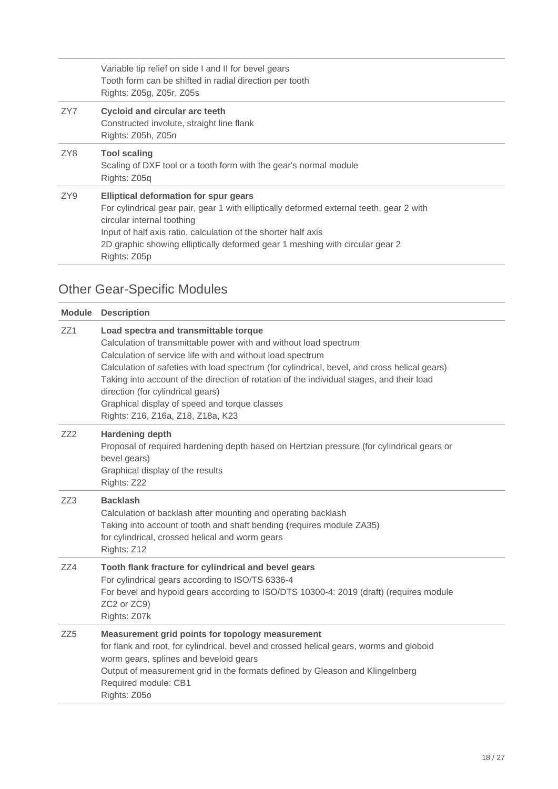Variable tip relief on side I and II for bevel gears Tooth form can be shifted in radial direction per tooth Rights: Z05g, Z05r, Z05s

ZY7 **Cycloid and circular arc teeth** Constructed involute, straight line flank Rights: Z05h, Z05n

#### ZY8 **Tool scaling** Scaling of DXF tool or a tooth form with the gear's normal module Rights: Z05q ZY9 **Elliptical deformation for spur gears** For cylindrical gear pair, gear 1 with elliptically deformed external teeth, gear 2 with circular internal toothing Input of half axis ratio, calculation of the shorter half axis

2D graphic showing elliptically deformed gear 1 meshing with circular gear 2 Rights: Z05p

### <span id="page-17-0"></span>Other Gear-Specific Modules

| <b>Description</b>                                                                                                                                                                                                                                                                                                                                                                                                                                                                               |
|--------------------------------------------------------------------------------------------------------------------------------------------------------------------------------------------------------------------------------------------------------------------------------------------------------------------------------------------------------------------------------------------------------------------------------------------------------------------------------------------------|
| Load spectra and transmittable torque<br>Calculation of transmittable power with and without load spectrum<br>Calculation of service life with and without load spectrum<br>Calculation of safeties with load spectrum (for cylindrical, bevel, and cross helical gears)<br>Taking into account of the direction of rotation of the individual stages, and their load<br>direction (for cylindrical gears)<br>Graphical display of speed and torque classes<br>Rights: Z16, Z16a, Z18, Z18a, K23 |
| <b>Hardening depth</b><br>Proposal of required hardening depth based on Hertzian pressure (for cylindrical gears or<br>bevel gears)<br>Graphical display of the results<br>Rights: Z22                                                                                                                                                                                                                                                                                                           |
| <b>Backlash</b><br>Calculation of backlash after mounting and operating backlash<br>Taking into account of tooth and shaft bending (requires module ZA35)<br>for cylindrical, crossed helical and worm gears<br>Rights: Z12                                                                                                                                                                                                                                                                      |
| Tooth flank fracture for cylindrical and bevel gears<br>For cylindrical gears according to ISO/TS 6336-4<br>For bevel and hypoid gears according to ISO/DTS 10300-4: 2019 (draft) (requires module<br>ZC2 or ZC9)<br>Rights: Z07k                                                                                                                                                                                                                                                                |
| Measurement grid points for topology measurement<br>for flank and root, for cylindrical, bevel and crossed helical gears, worms and globoid<br>worm gears, splines and beveloid gears<br>Output of measurement grid in the formats defined by Gleason and Klingelnberg<br>Required module: CB1<br>Rights: Z05o                                                                                                                                                                                   |
|                                                                                                                                                                                                                                                                                                                                                                                                                                                                                                  |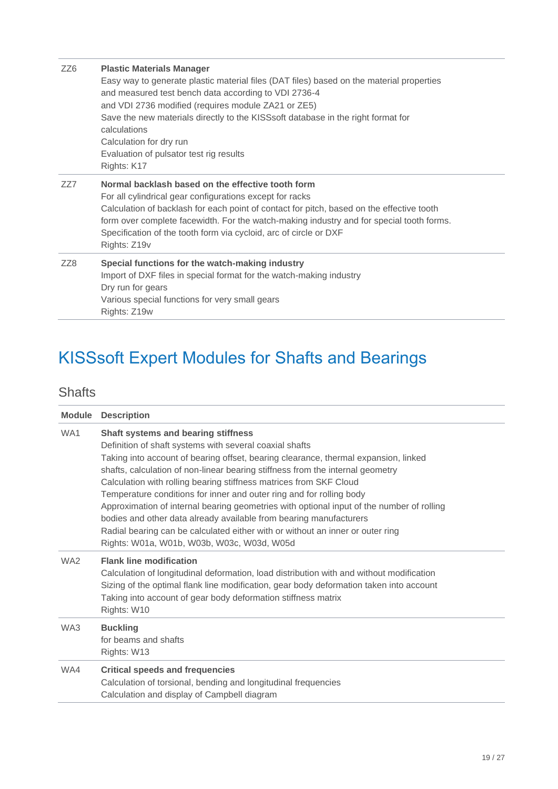| ZZ <sub>6</sub> | <b>Plastic Materials Manager</b><br>Easy way to generate plastic material files (DAT files) based on the material properties<br>and measured test bench data according to VDI 2736-4<br>and VDI 2736 modified (requires module ZA21 or ZE5)<br>Save the new materials directly to the KISSsoft database in the right format for<br>calculations<br>Calculation for dry run<br>Evaluation of pulsator test rig results<br>Rights: K17 |
|-----------------|--------------------------------------------------------------------------------------------------------------------------------------------------------------------------------------------------------------------------------------------------------------------------------------------------------------------------------------------------------------------------------------------------------------------------------------|
| ZZ7             | Normal backlash based on the effective tooth form<br>For all cylindrical gear configurations except for racks<br>Calculation of backlash for each point of contact for pitch, based on the effective tooth<br>form over complete facewidth. For the watch-making industry and for special tooth forms.<br>Specification of the tooth form via cycloid, arc of circle or DXF<br>Rights: Z19v                                          |
| ZZ8             | Special functions for the watch-making industry<br>Import of DXF files in special format for the watch-making industry<br>Dry run for gears<br>Various special functions for very small gears<br>Rights: Z19w                                                                                                                                                                                                                        |

# <span id="page-18-0"></span>KISSsoft Expert Modules for Shafts and Bearings

### <span id="page-18-1"></span>**Shafts**

| <b>Module</b>   | <b>Description</b>                                                                                                                                                                                                                                                                                                                                                                                                                                                                                                                                                                                                                                                                                                       |
|-----------------|--------------------------------------------------------------------------------------------------------------------------------------------------------------------------------------------------------------------------------------------------------------------------------------------------------------------------------------------------------------------------------------------------------------------------------------------------------------------------------------------------------------------------------------------------------------------------------------------------------------------------------------------------------------------------------------------------------------------------|
| WA <sub>1</sub> | Shaft systems and bearing stiffness<br>Definition of shaft systems with several coaxial shafts<br>Taking into account of bearing offset, bearing clearance, thermal expansion, linked<br>shafts, calculation of non-linear bearing stiffness from the internal geometry<br>Calculation with rolling bearing stiffness matrices from SKF Cloud<br>Temperature conditions for inner and outer ring and for rolling body<br>Approximation of internal bearing geometries with optional input of the number of rolling<br>bodies and other data already available from bearing manufacturers<br>Radial bearing can be calculated either with or without an inner or outer ring<br>Rights: W01a, W01b, W03b, W03c, W03d, W05d |
| WA <sub>2</sub> | <b>Flank line modification</b><br>Calculation of longitudinal deformation, load distribution with and without modification<br>Sizing of the optimal flank line modification, gear body deformation taken into account<br>Taking into account of gear body deformation stiffness matrix<br>Rights: W10                                                                                                                                                                                                                                                                                                                                                                                                                    |
| WA3             | <b>Buckling</b><br>for beams and shafts<br>Rights: W13                                                                                                                                                                                                                                                                                                                                                                                                                                                                                                                                                                                                                                                                   |
| WA4             | <b>Critical speeds and frequencies</b><br>Calculation of torsional, bending and longitudinal frequencies<br>Calculation and display of Campbell diagram                                                                                                                                                                                                                                                                                                                                                                                                                                                                                                                                                                  |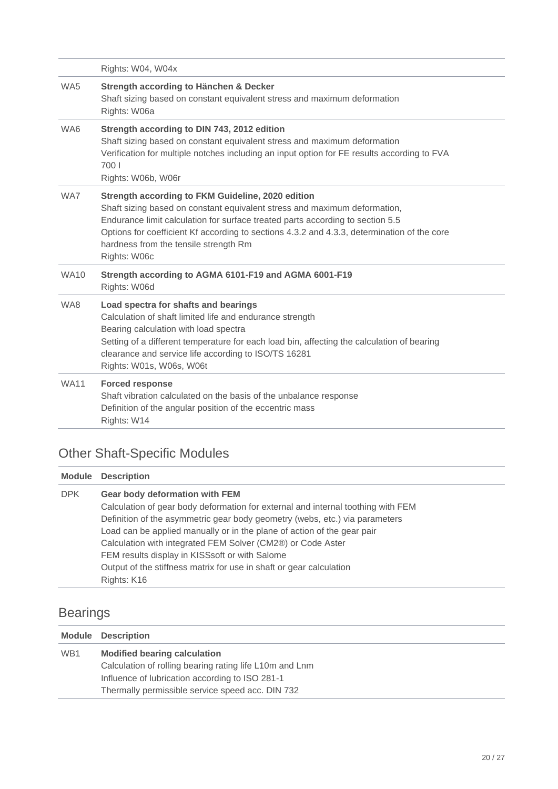|                 | Rights: W04, W04x                                                                                                                                                                                                                                                                                                                                                        |
|-----------------|--------------------------------------------------------------------------------------------------------------------------------------------------------------------------------------------------------------------------------------------------------------------------------------------------------------------------------------------------------------------------|
| WA <sub>5</sub> | Strength according to Hänchen & Decker<br>Shaft sizing based on constant equivalent stress and maximum deformation<br>Rights: W06a                                                                                                                                                                                                                                       |
| WA6             | Strength according to DIN 743, 2012 edition<br>Shaft sizing based on constant equivalent stress and maximum deformation<br>Verification for multiple notches including an input option for FE results according to FVA<br>700 l<br>Rights: W06b, W06r                                                                                                                    |
| WA7             | Strength according to FKM Guideline, 2020 edition<br>Shaft sizing based on constant equivalent stress and maximum deformation,<br>Endurance limit calculation for surface treated parts according to section 5.5<br>Options for coefficient Kf according to sections 4.3.2 and 4.3.3, determination of the core<br>hardness from the tensile strength Rm<br>Rights: W06c |
| <b>WA10</b>     | Strength according to AGMA 6101-F19 and AGMA 6001-F19<br>Rights: W06d                                                                                                                                                                                                                                                                                                    |
| WA8             | Load spectra for shafts and bearings<br>Calculation of shaft limited life and endurance strength<br>Bearing calculation with load spectra<br>Setting of a different temperature for each load bin, affecting the calculation of bearing<br>clearance and service life according to ISO/TS 16281<br>Rights: W01s, W06s, W06t                                              |
| <b>WA11</b>     | <b>Forced response</b><br>Shaft vibration calculated on the basis of the unbalance response<br>Definition of the angular position of the eccentric mass<br>Rights: W14                                                                                                                                                                                                   |

## <span id="page-19-0"></span>Other Shaft-Specific Modules

|            | <b>Module Description</b>                                                        |
|------------|----------------------------------------------------------------------------------|
| <b>DPK</b> | <b>Gear body deformation with FEM</b>                                            |
|            | Calculation of gear body deformation for external and internal toothing with FEM |
|            | Definition of the asymmetric gear body geometry (webs, etc.) via parameters      |
|            | Load can be applied manually or in the plane of action of the gear pair          |
|            | Calculation with integrated FEM Solver (CM2®) or Code Aster                      |
|            | FEM results display in KISSsoft or with Salome                                   |
|            | Output of the stiffness matrix for use in shaft or gear calculation              |
|            | Rights: K16                                                                      |
|            |                                                                                  |

## <span id="page-19-1"></span>Bearings

|                 | <b>Module Description</b>                               |
|-----------------|---------------------------------------------------------|
| WB <sub>1</sub> | <b>Modified bearing calculation</b>                     |
|                 | Calculation of rolling bearing rating life L10m and Lnm |
|                 | Influence of lubrication according to ISO 281-1         |
|                 | Thermally permissible service speed acc. DIN 732        |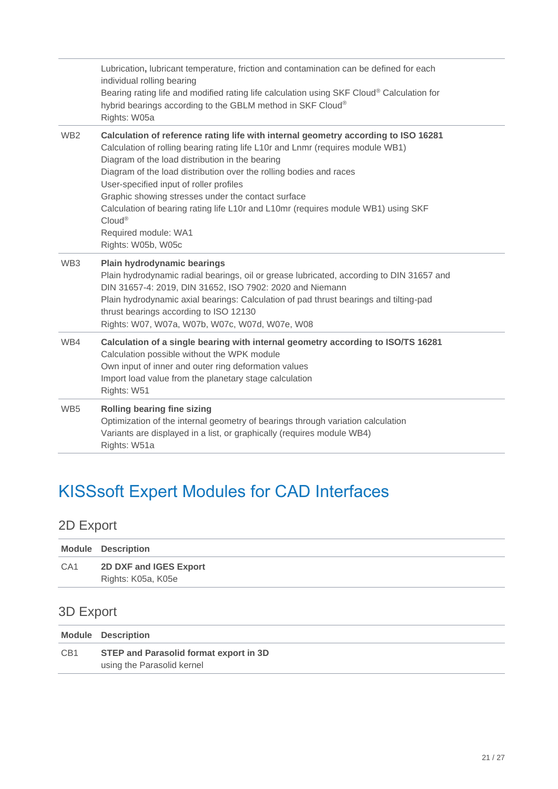|                 | Lubrication, lubricant temperature, friction and contamination can be defined for each<br>individual rolling bearing<br>Bearing rating life and modified rating life calculation using SKF Cloud® Calculation for<br>hybrid bearings according to the GBLM method in SKF Cloud®<br>Rights: W05a                                                                                                                                                                                                                                                         |
|-----------------|---------------------------------------------------------------------------------------------------------------------------------------------------------------------------------------------------------------------------------------------------------------------------------------------------------------------------------------------------------------------------------------------------------------------------------------------------------------------------------------------------------------------------------------------------------|
| WB <sub>2</sub> | Calculation of reference rating life with internal geometry according to ISO 16281<br>Calculation of rolling bearing rating life L10r and Lnmr (requires module WB1)<br>Diagram of the load distribution in the bearing<br>Diagram of the load distribution over the rolling bodies and races<br>User-specified input of roller profiles<br>Graphic showing stresses under the contact surface<br>Calculation of bearing rating life L10r and L10mr (requires module WB1) using SKF<br>Cloud <sup>®</sup><br>Required module: WA1<br>Rights: W05b, W05c |
| WB <sub>3</sub> | Plain hydrodynamic bearings<br>Plain hydrodynamic radial bearings, oil or grease lubricated, according to DIN 31657 and<br>DIN 31657-4: 2019, DIN 31652, ISO 7902: 2020 and Niemann<br>Plain hydrodynamic axial bearings: Calculation of pad thrust bearings and tilting-pad<br>thrust bearings according to ISO 12130<br>Rights: W07, W07a, W07b, W07c, W07d, W07e, W08                                                                                                                                                                                |
| WB4             | Calculation of a single bearing with internal geometry according to ISO/TS 16281<br>Calculation possible without the WPK module<br>Own input of inner and outer ring deformation values<br>Import load value from the planetary stage calculation<br>Rights: W51                                                                                                                                                                                                                                                                                        |
| WB <sub>5</sub> | Rolling bearing fine sizing<br>Optimization of the internal geometry of bearings through variation calculation<br>Variants are displayed in a list, or graphically (requires module WB4)<br>Rights: W51a                                                                                                                                                                                                                                                                                                                                                |

## <span id="page-20-0"></span>KISSsoft Expert Modules for CAD Interfaces

## <span id="page-20-1"></span>2D Export

|                 | <b>Module Description</b>                    |
|-----------------|----------------------------------------------|
| CA <sub>1</sub> | 2D DXF and IGES Export<br>Rights: K05a, K05e |

## <span id="page-20-2"></span>3D Export

|                 | <b>Module Description</b>                                            |
|-----------------|----------------------------------------------------------------------|
| CB <sub>1</sub> | STEP and Parasolid format export in 3D<br>using the Parasolid kernel |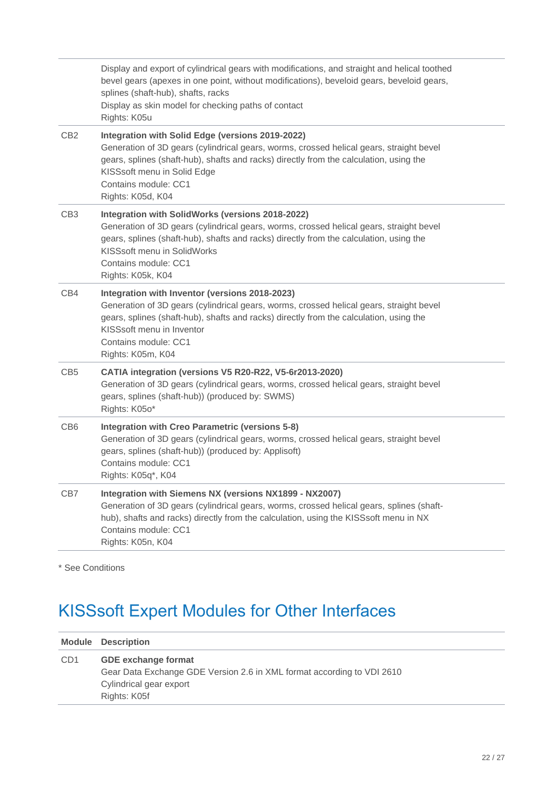|                 | Display and export of cylindrical gears with modifications, and straight and helical toothed<br>bevel gears (apexes in one point, without modifications), beveloid gears, beveloid gears,<br>splines (shaft-hub), shafts, racks<br>Display as skin model for checking paths of contact<br>Rights: K05u            |
|-----------------|-------------------------------------------------------------------------------------------------------------------------------------------------------------------------------------------------------------------------------------------------------------------------------------------------------------------|
| CB <sub>2</sub> | Integration with Solid Edge (versions 2019-2022)<br>Generation of 3D gears (cylindrical gears, worms, crossed helical gears, straight bevel<br>gears, splines (shaft-hub), shafts and racks) directly from the calculation, using the<br>KISSsoft menu in Solid Edge<br>Contains module: CC1<br>Rights: K05d, K04 |
| CB <sub>3</sub> | Integration with SolidWorks (versions 2018-2022)<br>Generation of 3D gears (cylindrical gears, worms, crossed helical gears, straight bevel<br>gears, splines (shaft-hub), shafts and racks) directly from the calculation, using the<br>KISSsoft menu in SolidWorks<br>Contains module: CC1<br>Rights: K05k, K04 |
| CB4             | Integration with Inventor (versions 2018-2023)<br>Generation of 3D gears (cylindrical gears, worms, crossed helical gears, straight bevel<br>gears, splines (shaft-hub), shafts and racks) directly from the calculation, using the<br>KISSsoft menu in Inventor<br>Contains module: CC1<br>Rights: K05m, K04     |
| CB5             | CATIA integration (versions V5 R20-R22, V5-6r2013-2020)<br>Generation of 3D gears (cylindrical gears, worms, crossed helical gears, straight bevel<br>gears, splines (shaft-hub)) (produced by: SWMS)<br>Rights: K050*                                                                                            |
| CB <sub>6</sub> | <b>Integration with Creo Parametric (versions 5-8)</b><br>Generation of 3D gears (cylindrical gears, worms, crossed helical gears, straight bevel<br>gears, splines (shaft-hub)) (produced by: Applisoft)<br>Contains module: CC1<br>Rights: K05q*, K04                                                           |
| CB7             | Integration with Siemens NX (versions NX1899 - NX2007)<br>Generation of 3D gears (cylindrical gears, worms, crossed helical gears, splines (shaft-<br>hub), shafts and racks) directly from the calculation, using the KISSsoft menu in NX<br>Contains module: CC1<br>Rights: K05n, K04                           |

<span id="page-21-0"></span>\* See Conditions

# KISSsoft Expert Modules for Other Interfaces

|                 | <b>Module Description</b>                                                                                                                       |
|-----------------|-------------------------------------------------------------------------------------------------------------------------------------------------|
| CD <sub>1</sub> | <b>GDE exchange format</b><br>Gear Data Exchange GDE Version 2.6 in XML format according to VDI 2610<br>Cylindrical gear export<br>Rights: K05f |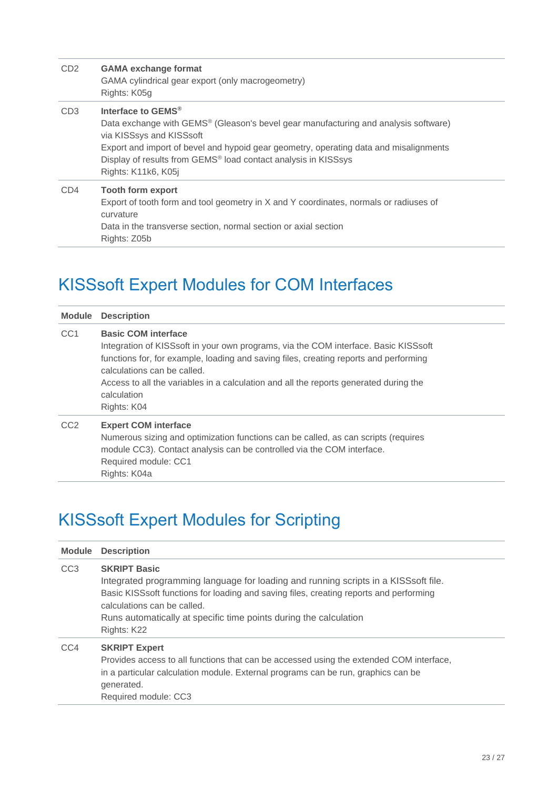| CD <sub>2</sub> | <b>GAMA exchange format</b><br>GAMA cylindrical gear export (only macrogeometry)<br>Rights: K05g                                                                                                                                                                                                                                                            |
|-----------------|-------------------------------------------------------------------------------------------------------------------------------------------------------------------------------------------------------------------------------------------------------------------------------------------------------------------------------------------------------------|
| CD <sub>3</sub> | Interface to GEMS <sup>®</sup><br>Data exchange with GEMS <sup>®</sup> (Gleason's bevel gear manufacturing and analysis software)<br>via KISSsys and KISSsoft<br>Export and import of bevel and hypoid gear geometry, operating data and misalignments<br>Display of results from GEMS <sup>®</sup> load contact analysis in KISSsys<br>Rights: K11k6, K05j |
| CD4             | <b>Tooth form export</b><br>Export of tooth form and tool geometry in X and Y coordinates, normals or radiuses of<br>curvature<br>Data in the transverse section, normal section or axial section<br>Rights: Z05b                                                                                                                                           |

# <span id="page-22-0"></span>KISSsoft Expert Modules for COM Interfaces

| Module          | <b>Description</b>                                                                                                                                                                                                                                                                                                                                               |
|-----------------|------------------------------------------------------------------------------------------------------------------------------------------------------------------------------------------------------------------------------------------------------------------------------------------------------------------------------------------------------------------|
| CC <sub>1</sub> | <b>Basic COM interface</b><br>Integration of KISSsoft in your own programs, via the COM interface. Basic KISSsoft<br>functions for, for example, loading and saving files, creating reports and performing<br>calculations can be called.<br>Access to all the variables in a calculation and all the reports generated during the<br>calculation<br>Rights: K04 |
| CC <sub>2</sub> | <b>Expert COM interface</b><br>Numerous sizing and optimization functions can be called, as can scripts (requires<br>module CC3). Contact analysis can be controlled via the COM interface.<br>Required module: CC1<br>Rights: K04a                                                                                                                              |

## <span id="page-22-1"></span>KISSsoft Expert Modules for Scripting

| <b>Module</b>   | <b>Description</b>                                                                                                                                                                                                                                                                                                      |
|-----------------|-------------------------------------------------------------------------------------------------------------------------------------------------------------------------------------------------------------------------------------------------------------------------------------------------------------------------|
| CC <sub>3</sub> | <b>SKRIPT Basic</b><br>Integrated programming language for loading and running scripts in a KISSsoft file.<br>Basic KISSsoft functions for loading and saving files, creating reports and performing<br>calculations can be called.<br>Runs automatically at specific time points during the calculation<br>Rights: K22 |
| CC4             | <b>SKRIPT Expert</b><br>Provides access to all functions that can be accessed using the extended COM interface,<br>in a particular calculation module. External programs can be run, graphics can be<br>generated.<br>Required module: CC3                                                                              |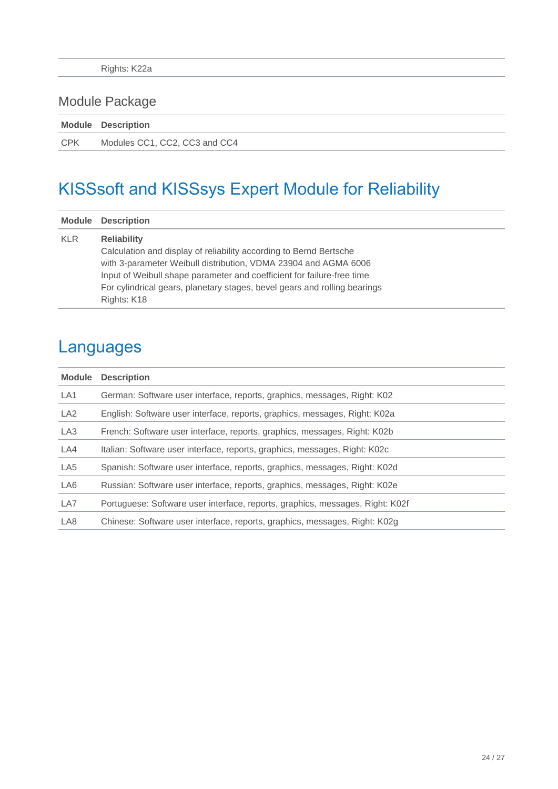## <span id="page-23-0"></span>Module Package

|            | <b>Module Description</b>     |
|------------|-------------------------------|
| <b>CPK</b> | Modules CC1, CC2, CC3 and CC4 |

## <span id="page-23-1"></span>KISSsoft and KISSsys Expert Module for Reliability

| Module     | <b>Description</b>                                                                                                                                                                                                                                                                                                                |
|------------|-----------------------------------------------------------------------------------------------------------------------------------------------------------------------------------------------------------------------------------------------------------------------------------------------------------------------------------|
| <b>KLR</b> | <b>Reliability</b><br>Calculation and display of reliability according to Bernd Bertsche<br>with 3-parameter Weibull distribution, VDMA 23904 and AGMA 6006<br>Input of Weibull shape parameter and coefficient for failure-free time<br>For cylindrical gears, planetary stages, bevel gears and rolling bearings<br>Rights: K18 |

## <span id="page-23-2"></span>Languages

| <b>Module</b>   | <b>Description</b>                                                            |
|-----------------|-------------------------------------------------------------------------------|
| LA1             | German: Software user interface, reports, graphics, messages, Right: K02      |
| LA <sub>2</sub> | English: Software user interface, reports, graphics, messages, Right: K02a    |
| LA3             | French: Software user interface, reports, graphics, messages, Right: K02b     |
| LA4             | Italian: Software user interface, reports, graphics, messages, Right: K02c    |
| LA5             | Spanish: Software user interface, reports, graphics, messages, Right: K02d    |
| LA6             | Russian: Software user interface, reports, graphics, messages, Right: K02e    |
| LA7             | Portuguese: Software user interface, reports, graphics, messages, Right: K02f |
| LA <sub>8</sub> | Chinese: Software user interface, reports, graphics, messages, Right: K02g    |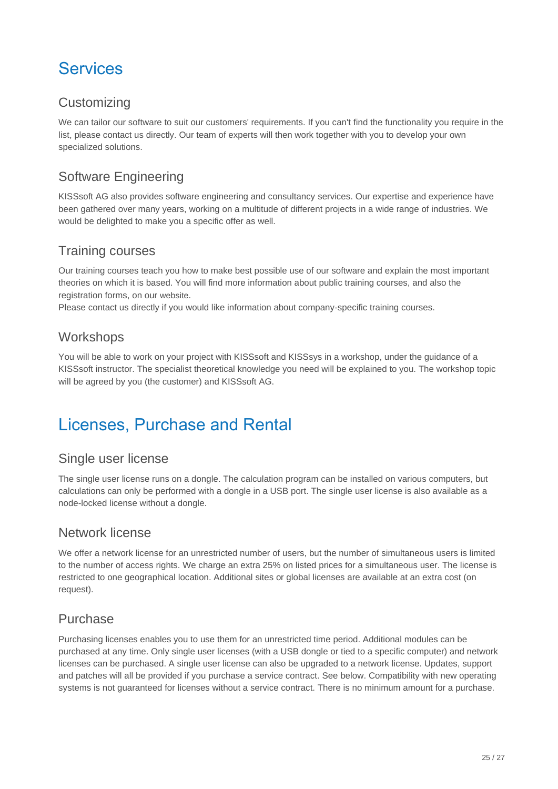## <span id="page-24-0"></span>**Services**

### <span id="page-24-1"></span>**Customizing**

We can tailor our software to suit our customers' requirements. If you can't find the functionality you require in the list, please contact us directly. Our team of experts will then work together with you to develop your own specialized solutions.

### <span id="page-24-2"></span>Software Engineering

KISSsoft AG also provides software engineering and consultancy services. Our expertise and experience have been gathered over many years, working on a multitude of different projects in a wide range of industries. We would be delighted to make you a specific offer as well.

#### <span id="page-24-3"></span>Training courses

Our training courses teach you how to make best possible use of our software and explain the most important theories on which it is based. You will find more information about public training courses, and also the registration forms, on our website.

<span id="page-24-4"></span>Please contact us directly if you would like information about company-specific training courses.

#### **Workshops**

You will be able to work on your project with KISSsoft and KISSsys in a workshop, under the guidance of a KISSsoft instructor. The specialist theoretical knowledge you need will be explained to you. The workshop topic will be agreed by you (the customer) and KISSsoft AG.

## <span id="page-24-5"></span>Licenses, Purchase and Rental

#### <span id="page-24-6"></span>Single user license

The single user license runs on a dongle. The calculation program can be installed on various computers, but calculations can only be performed with a dongle in a USB port. The single user license is also available as a node-locked license without a dongle.

#### <span id="page-24-7"></span>Network license

We offer a network license for an unrestricted number of users, but the number of simultaneous users is limited to the number of access rights. We charge an extra 25% on listed prices for a simultaneous user. The license is restricted to one geographical location. Additional sites or global licenses are available at an extra cost (on request).

### <span id="page-24-8"></span>Purchase

Purchasing licenses enables you to use them for an unrestricted time period. Additional modules can be purchased at any time. Only single user licenses (with a USB dongle or tied to a specific computer) and network licenses can be purchased. A single user license can also be upgraded to a network license. Updates, support and patches will all be provided if you purchase a service contract. See below. Compatibility with new operating systems is not guaranteed for licenses without a service contract. There is no minimum amount for a purchase.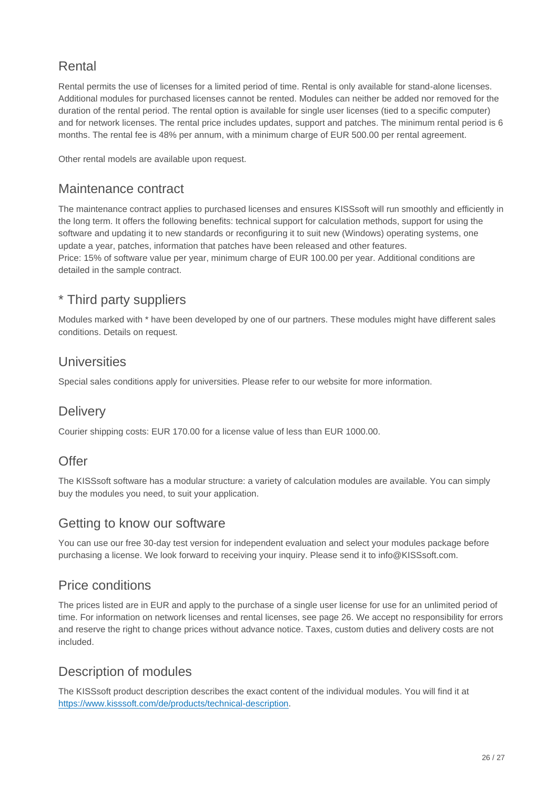### <span id="page-25-0"></span>Rental

Rental permits the use of licenses for a limited period of time. Rental is only available for stand-alone licenses. Additional modules for purchased licenses cannot be rented. Modules can neither be added nor removed for the duration of the rental period. The rental option is available for single user licenses (tied to a specific computer) and for network licenses. The rental price includes updates, support and patches. The minimum rental period is 6 months. The rental fee is 48% per annum, with a minimum charge of EUR 500.00 per rental agreement.

<span id="page-25-1"></span>Other rental models are available upon request.

#### Maintenance contract

The maintenance contract applies to purchased licenses and ensures KISSsoft will run smoothly and efficiently in the long term. It offers the following benefits: technical support for calculation methods, support for using the software and updating it to new standards or reconfiguring it to suit new (Windows) operating systems, one update a year, patches, information that patches have been released and other features. Price: 15% of software value per year, minimum charge of EUR 100.00 per year. Additional conditions are detailed in the sample contract.

### <span id="page-25-2"></span>\* Third party suppliers

Modules marked with \* have been developed by one of our partners. These modules might have different sales conditions. Details on request.

#### <span id="page-25-3"></span>**Universities**

<span id="page-25-4"></span>Special sales conditions apply for universities. Please refer to our website for more information.

#### **Delivery**

<span id="page-25-5"></span>Courier shipping costs: EUR 170.00 for a license value of less than EUR 1000.00.

#### Offer

The KISSsoft software has a modular structure: a variety of calculation modules are available. You can simply buy the modules you need, to suit your application.

#### <span id="page-25-6"></span>Getting to know our software

You can use our free 30-day test version for independent evaluation and select your modules package before purchasing a license. We look forward to receiving your inquiry. Please send it to info@KISSsoft.com.

### <span id="page-25-7"></span>Price conditions

The prices listed are in EUR and apply to the purchase of a single user license for use for an unlimited period of time. For information on network licenses and rental licenses, see page 26. We accept no responsibility for errors and reserve the right to change prices without advance notice. Taxes, custom duties and delivery costs are not included.

### <span id="page-25-8"></span>Description of modules

The KISSsoft product description describes the exact content of the individual modules. You will find it at [https://www.kisssoft.com/de/products/technical-description.](https://www.kisssoft.com/de/products/technical-description)